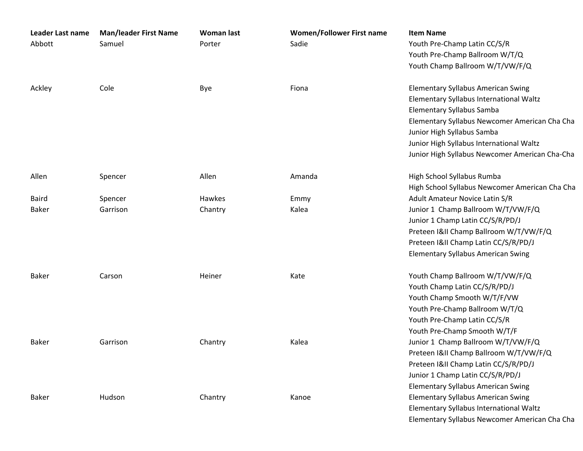| Leader Last name | <b>Man/leader First Name</b> | <b>Woman last</b> | <b>Women/Follower First name</b> | <b>Item Name</b>                               |
|------------------|------------------------------|-------------------|----------------------------------|------------------------------------------------|
| Abbott           | Samuel                       | Porter            | Sadie                            | Youth Pre-Champ Latin CC/S/R                   |
|                  |                              |                   |                                  | Youth Pre-Champ Ballroom W/T/Q                 |
|                  |                              |                   |                                  | Youth Champ Ballroom W/T/VW/F/Q                |
| Ackley           | Cole                         | Bye               | Fiona                            | <b>Elementary Syllabus American Swing</b>      |
|                  |                              |                   |                                  | Elementary Syllabus International Waltz        |
|                  |                              |                   |                                  | <b>Elementary Syllabus Samba</b>               |
|                  |                              |                   |                                  | Elementary Syllabus Newcomer American Cha Cha  |
|                  |                              |                   |                                  | Junior High Syllabus Samba                     |
|                  |                              |                   |                                  | Junior High Syllabus International Waltz       |
|                  |                              |                   |                                  | Junior High Syllabus Newcomer American Cha-Cha |
| Allen            | Spencer                      | Allen             | Amanda                           | High School Syllabus Rumba                     |
|                  |                              |                   |                                  | High School Syllabus Newcomer American Cha Cha |
| <b>Baird</b>     | Spencer                      | Hawkes            | Emmy                             | Adult Amateur Novice Latin S/R                 |
| <b>Baker</b>     | Garrison                     | Chantry           | Kalea                            | Junior 1 Champ Ballroom W/T/VW/F/Q             |
|                  |                              |                   |                                  | Junior 1 Champ Latin CC/S/R/PD/J               |
|                  |                              |                   |                                  | Preteen I&II Champ Ballroom W/T/VW/F/Q         |
|                  |                              |                   |                                  | Preteen I&II Champ Latin CC/S/R/PD/J           |
|                  |                              |                   |                                  | <b>Elementary Syllabus American Swing</b>      |
| <b>Baker</b>     | Carson                       | Heiner            | Kate                             | Youth Champ Ballroom W/T/VW/F/Q                |
|                  |                              |                   |                                  | Youth Champ Latin CC/S/R/PD/J                  |
|                  |                              |                   |                                  | Youth Champ Smooth W/T/F/VW                    |
|                  |                              |                   |                                  | Youth Pre-Champ Ballroom W/T/Q                 |
|                  |                              |                   |                                  | Youth Pre-Champ Latin CC/S/R                   |
|                  |                              |                   |                                  | Youth Pre-Champ Smooth W/T/F                   |
| <b>Baker</b>     | Garrison                     | Chantry           | Kalea                            | Junior 1 Champ Ballroom W/T/VW/F/Q             |
|                  |                              |                   |                                  | Preteen I&II Champ Ballroom W/T/VW/F/Q         |
|                  |                              |                   |                                  | Preteen I&II Champ Latin CC/S/R/PD/J           |
|                  |                              |                   |                                  | Junior 1 Champ Latin CC/S/R/PD/J               |
|                  |                              |                   |                                  | <b>Elementary Syllabus American Swing</b>      |
| <b>Baker</b>     | Hudson                       | Chantry           | Kanoe                            | <b>Elementary Syllabus American Swing</b>      |
|                  |                              |                   |                                  | Elementary Syllabus International Waltz        |
|                  |                              |                   |                                  | Elementary Syllabus Newcomer American Cha Cha  |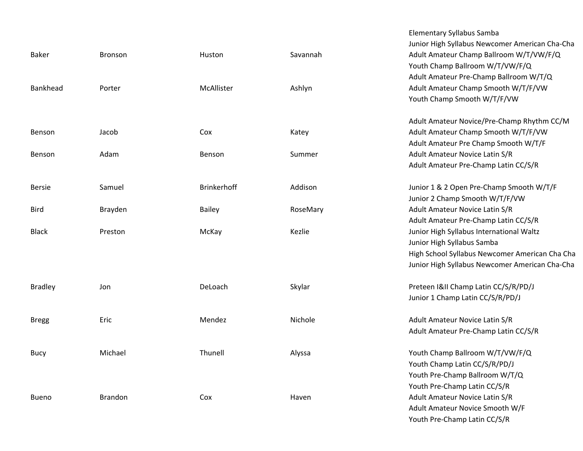| <b>Baker</b>   | <b>Bronson</b> | Huston        | Savannah | Junior High Syllabus Newcomer American Cha-Cha<br>Adult Amateur Champ Ballroom W/T/VW/F/Q<br>Youth Champ Ballroom W/T/VW/F/Q                                                                                       |
|----------------|----------------|---------------|----------|--------------------------------------------------------------------------------------------------------------------------------------------------------------------------------------------------------------------|
| Bankhead       | Porter         | McAllister    | Ashlyn   | Adult Amateur Pre-Champ Ballroom W/T/Q<br>Adult Amateur Champ Smooth W/T/F/VW<br>Youth Champ Smooth W/T/F/VW                                                                                                       |
| Benson         | Jacob          | Cox           | Katey    | Adult Amateur Novice/Pre-Champ Rhythm CC/M<br>Adult Amateur Champ Smooth W/T/F/VW<br>Adult Amateur Pre Champ Smooth W/T/F                                                                                          |
| Benson         | Adam           | Benson        | Summer   | Adult Amateur Novice Latin S/R<br>Adult Amateur Pre-Champ Latin CC/S/R                                                                                                                                             |
| <b>Bersie</b>  | Samuel         | Brinkerhoff   | Addison  | Junior 1 & 2 Open Pre-Champ Smooth W/T/F<br>Junior 2 Champ Smooth W/T/F/VW                                                                                                                                         |
| <b>Bird</b>    | Brayden        | <b>Bailey</b> | RoseMary | Adult Amateur Novice Latin S/R                                                                                                                                                                                     |
| <b>Black</b>   | Preston        | McKay         | Kezlie   | Adult Amateur Pre-Champ Latin CC/S/R<br>Junior High Syllabus International Waltz<br>Junior High Syllabus Samba<br>High School Syllabus Newcomer American Cha Cha<br>Junior High Syllabus Newcomer American Cha-Cha |
| <b>Bradley</b> | Jon            | DeLoach       | Skylar   | Preteen I&II Champ Latin CC/S/R/PD/J<br>Junior 1 Champ Latin CC/S/R/PD/J                                                                                                                                           |
| <b>Bregg</b>   | Eric           | Mendez        | Nichole  | Adult Amateur Novice Latin S/R<br>Adult Amateur Pre-Champ Latin CC/S/R                                                                                                                                             |
| <b>Bucy</b>    | Michael        | Thunell       | Alyssa   | Youth Champ Ballroom W/T/VW/F/Q<br>Youth Champ Latin CC/S/R/PD/J<br>Youth Pre-Champ Ballroom W/T/Q<br>Youth Pre-Champ Latin CC/S/R                                                                                 |
| <b>Bueno</b>   | <b>Brandon</b> | Cox           | Haven    | Adult Amateur Novice Latin S/R<br>Adult Amateur Novice Smooth W/F                                                                                                                                                  |

Elementary Syllabus Samba

Youth Pre‐Champ Latin CC/S/R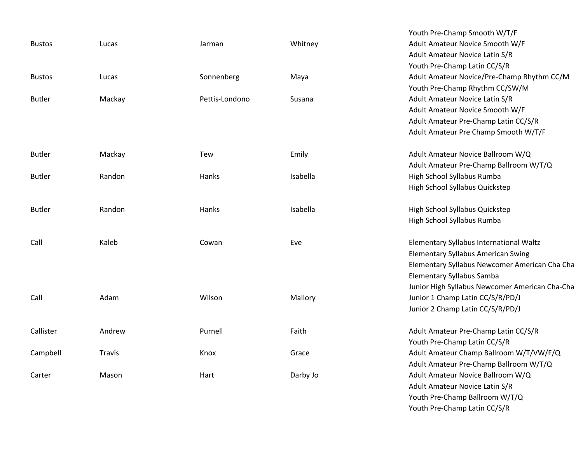|               |        |                |          | Youth Pre-Champ Smooth W/T/F                   |
|---------------|--------|----------------|----------|------------------------------------------------|
| <b>Bustos</b> | Lucas  | Jarman         | Whitney  | Adult Amateur Novice Smooth W/F                |
|               |        |                |          | Adult Amateur Novice Latin S/R                 |
|               |        |                |          | Youth Pre-Champ Latin CC/S/R                   |
| <b>Bustos</b> | Lucas  | Sonnenberg     | Maya     | Adult Amateur Novice/Pre-Champ Rhythm CC/M     |
|               |        |                |          | Youth Pre-Champ Rhythm CC/SW/M                 |
| <b>Butler</b> | Mackay | Pettis-Londono | Susana   | Adult Amateur Novice Latin S/R                 |
|               |        |                |          | Adult Amateur Novice Smooth W/F                |
|               |        |                |          | Adult Amateur Pre-Champ Latin CC/S/R           |
|               |        |                |          | Adult Amateur Pre Champ Smooth W/T/F           |
| <b>Butler</b> | Mackay | Tew            | Emily    | Adult Amateur Novice Ballroom W/Q              |
|               |        |                |          | Adult Amateur Pre-Champ Ballroom W/T/Q         |
| <b>Butler</b> | Randon | <b>Hanks</b>   | Isabella | High School Syllabus Rumba                     |
|               |        |                |          | High School Syllabus Quickstep                 |
| <b>Butler</b> | Randon | <b>Hanks</b>   | Isabella | High School Syllabus Quickstep                 |
|               |        |                |          | High School Syllabus Rumba                     |
| Call          | Kaleb  | Cowan          | Eve      | Elementary Syllabus International Waltz        |
|               |        |                |          | <b>Elementary Syllabus American Swing</b>      |
|               |        |                |          | Elementary Syllabus Newcomer American Cha Cha  |
|               |        |                |          | <b>Elementary Syllabus Samba</b>               |
|               |        |                |          | Junior High Syllabus Newcomer American Cha-Cha |
| Call          | Adam   | Wilson         | Mallory  | Junior 1 Champ Latin CC/S/R/PD/J               |
|               |        |                |          | Junior 2 Champ Latin CC/S/R/PD/J               |
| Callister     | Andrew | Purnell        | Faith    | Adult Amateur Pre-Champ Latin CC/S/R           |
|               |        |                |          | Youth Pre-Champ Latin CC/S/R                   |
| Campbell      | Travis | Knox           | Grace    | Adult Amateur Champ Ballroom W/T/VW/F/Q        |
|               |        |                |          | Adult Amateur Pre-Champ Ballroom W/T/Q         |
| Carter        | Mason  | Hart           | Darby Jo | Adult Amateur Novice Ballroom W/Q              |
|               |        |                |          | Adult Amateur Novice Latin S/R                 |
|               |        |                |          | Youth Pre-Champ Ballroom W/T/Q                 |

Youth Pre‐Champ Latin CC/S/R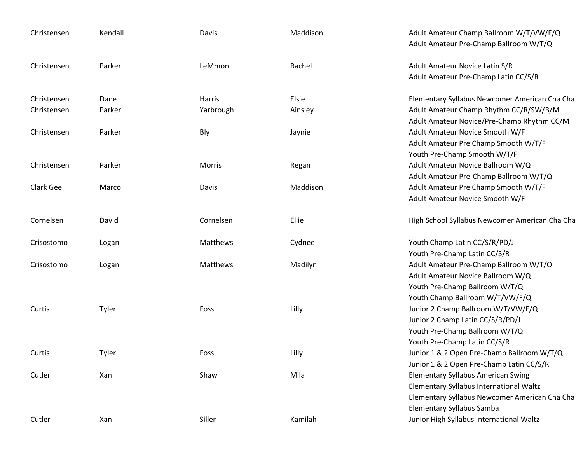| Christensen | Kendall | Davis     | Maddison | Adult Amateur Champ Ballroom W/T/VW/F/Q<br>Adult Amateur Pre-Champ Ballroom W/T/Q |
|-------------|---------|-----------|----------|-----------------------------------------------------------------------------------|
| Christensen | Parker  | LeMmon    | Rachel   | Adult Amateur Novice Latin S/R<br>Adult Amateur Pre-Champ Latin CC/S/R            |
| Christensen | Dane    | Harris    | Elsie    | Elementary Syllabus Newcomer American Cha Cha                                     |
| Christensen | Parker  | Yarbrough | Ainsley  | Adult Amateur Champ Rhythm CC/R/SW/B/M                                            |
| Christensen | Parker  | Bly       | Jaynie   | Adult Amateur Novice/Pre-Champ Rhythm CC/M<br>Adult Amateur Novice Smooth W/F     |
|             |         |           |          | Adult Amateur Pre Champ Smooth W/T/F                                              |
|             |         |           |          | Youth Pre-Champ Smooth W/T/F                                                      |
| Christensen | Parker  | Morris    | Regan    | Adult Amateur Novice Ballroom W/Q                                                 |
|             |         |           |          | Adult Amateur Pre-Champ Ballroom W/T/Q                                            |
| Clark Gee   | Marco   | Davis     | Maddison | Adult Amateur Pre Champ Smooth W/T/F                                              |
|             |         |           |          | Adult Amateur Novice Smooth W/F                                                   |
| Cornelsen   | David   | Cornelsen | Ellie    | High School Syllabus Newcomer American Cha Cha                                    |
| Crisostomo  | Logan   | Matthews  | Cydnee   | Youth Champ Latin CC/S/R/PD/J                                                     |
|             |         |           |          | Youth Pre-Champ Latin CC/S/R                                                      |
| Crisostomo  | Logan   | Matthews  | Madilyn  | Adult Amateur Pre-Champ Ballroom W/T/Q                                            |
|             |         |           |          | Adult Amateur Novice Ballroom W/Q                                                 |
|             |         |           |          | Youth Pre-Champ Ballroom W/T/Q                                                    |
|             |         |           |          | Youth Champ Ballroom W/T/VW/F/Q                                                   |
| Curtis      | Tyler   | Foss      | Lilly    | Junior 2 Champ Ballroom W/T/VW/F/Q                                                |
|             |         |           |          | Junior 2 Champ Latin CC/S/R/PD/J                                                  |
|             |         |           |          | Youth Pre-Champ Ballroom W/T/Q                                                    |
|             |         |           |          | Youth Pre-Champ Latin CC/S/R                                                      |
| Curtis      | Tyler   | Foss      | Lilly    | Junior 1 & 2 Open Pre-Champ Ballroom W/T/Q                                        |
|             |         |           |          | Junior 1 & 2 Open Pre-Champ Latin CC/S/R                                          |
| Cutler      | Xan     | Shaw      | Mila     | <b>Elementary Syllabus American Swing</b>                                         |
|             |         |           |          | Elementary Syllabus International Waltz                                           |
|             |         |           |          | Elementary Syllabus Newcomer American Cha Cha                                     |
|             |         |           |          | <b>Elementary Syllabus Samba</b>                                                  |
| Cutler      | Xan     | Siller    | Kamilah  | Junior High Syllabus International Waltz                                          |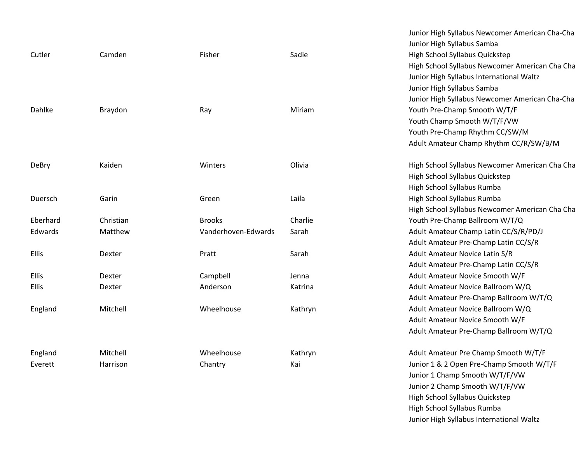|              |           |                     |         | Junior High Syllabus Newcomer American Cha-Cha |
|--------------|-----------|---------------------|---------|------------------------------------------------|
|              |           |                     |         | Junior High Syllabus Samba                     |
| Cutler       | Camden    | Fisher              | Sadie   | High School Syllabus Quickstep                 |
|              |           |                     |         | High School Syllabus Newcomer American Cha Cha |
|              |           |                     |         | Junior High Syllabus International Waltz       |
|              |           |                     |         | Junior High Syllabus Samba                     |
|              |           |                     |         | Junior High Syllabus Newcomer American Cha-Cha |
| Dahlke       | Braydon   | Ray                 | Miriam  | Youth Pre-Champ Smooth W/T/F                   |
|              |           |                     |         | Youth Champ Smooth W/T/F/VW                    |
|              |           |                     |         | Youth Pre-Champ Rhythm CC/SW/M                 |
|              |           |                     |         | Adult Amateur Champ Rhythm CC/R/SW/B/M         |
| <b>DeBry</b> | Kaiden    | Winters             | Olivia  | High School Syllabus Newcomer American Cha Cha |
|              |           |                     |         | High School Syllabus Quickstep                 |
|              |           |                     |         | High School Syllabus Rumba                     |
| Duersch      | Garin     | Green               | Laila   | High School Syllabus Rumba                     |
|              |           |                     |         | High School Syllabus Newcomer American Cha Cha |
| Eberhard     | Christian | <b>Brooks</b>       | Charlie | Youth Pre-Champ Ballroom W/T/Q                 |
| Edwards      | Matthew   | Vanderhoven-Edwards | Sarah   | Adult Amateur Champ Latin CC/S/R/PD/J          |
|              |           |                     |         | Adult Amateur Pre-Champ Latin CC/S/R           |
| Ellis        | Dexter    | Pratt               | Sarah   | Adult Amateur Novice Latin S/R                 |
|              |           |                     |         | Adult Amateur Pre-Champ Latin CC/S/R           |
| <b>Ellis</b> | Dexter    | Campbell            | Jenna   | Adult Amateur Novice Smooth W/F                |
| <b>Ellis</b> | Dexter    | Anderson            | Katrina | Adult Amateur Novice Ballroom W/Q              |
|              |           |                     |         | Adult Amateur Pre-Champ Ballroom W/T/Q         |
| England      | Mitchell  | Wheelhouse          | Kathryn | Adult Amateur Novice Ballroom W/Q              |
|              |           |                     |         | Adult Amateur Novice Smooth W/F                |
|              |           |                     |         | Adult Amateur Pre-Champ Ballroom W/T/Q         |
| England      | Mitchell  | Wheelhouse          | Kathryn | Adult Amateur Pre Champ Smooth W/T/F           |
| Everett      | Harrison  | Chantry             | Kai     | Junior 1 & 2 Open Pre-Champ Smooth W/T/F       |
|              |           |                     |         |                                                |

Junior 1 Champ Smooth W/T/F/VW Junior 2 Champ Smooth W/T/F/VW High School Syllabus Quickstep High School Syllabus Rumba Junior High Syllabus International Waltz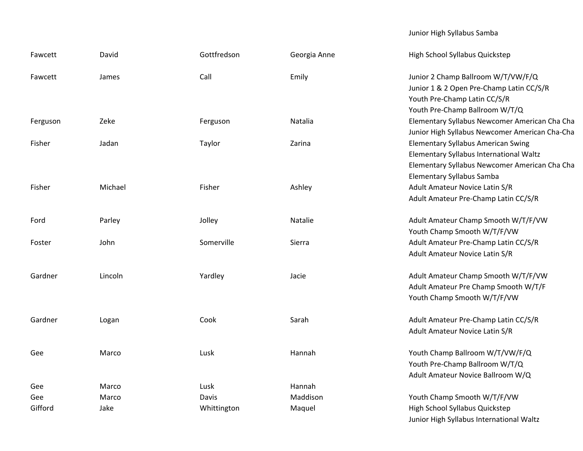## Junior High Syllabus Samba

| Fawcett  | David   | Gottfredson | Georgia Anne | High School Syllabus Quickstep                                                                                                                                     |
|----------|---------|-------------|--------------|--------------------------------------------------------------------------------------------------------------------------------------------------------------------|
| Fawcett  | James   | Call        | Emily        | Junior 2 Champ Ballroom W/T/VW/F/Q<br>Junior 1 & 2 Open Pre-Champ Latin CC/S/R<br>Youth Pre-Champ Latin CC/S/R<br>Youth Pre-Champ Ballroom W/T/Q                   |
| Ferguson | Zeke    | Ferguson    | Natalia      | Elementary Syllabus Newcomer American Cha Cha<br>Junior High Syllabus Newcomer American Cha-Cha                                                                    |
| Fisher   | Jadan   | Taylor      | Zarina       | <b>Elementary Syllabus American Swing</b><br>Elementary Syllabus International Waltz<br>Elementary Syllabus Newcomer American Cha Cha<br>Elementary Syllabus Samba |
| Fisher   | Michael | Fisher      | Ashley       | Adult Amateur Novice Latin S/R<br>Adult Amateur Pre-Champ Latin CC/S/R                                                                                             |
| Ford     | Parley  | Jolley      | Natalie      | Adult Amateur Champ Smooth W/T/F/VW<br>Youth Champ Smooth W/T/F/VW                                                                                                 |
| Foster   | John    | Somerville  | Sierra       | Adult Amateur Pre-Champ Latin CC/S/R<br>Adult Amateur Novice Latin S/R                                                                                             |
| Gardner  | Lincoln | Yardley     | Jacie        | Adult Amateur Champ Smooth W/T/F/VW<br>Adult Amateur Pre Champ Smooth W/T/F<br>Youth Champ Smooth W/T/F/VW                                                         |
| Gardner  | Logan   | Cook        | Sarah        | Adult Amateur Pre-Champ Latin CC/S/R<br>Adult Amateur Novice Latin S/R                                                                                             |
| Gee      | Marco   | Lusk        | Hannah       | Youth Champ Ballroom W/T/VW/F/Q<br>Youth Pre-Champ Ballroom W/T/Q<br>Adult Amateur Novice Ballroom W/Q                                                             |
| Gee      | Marco   | Lusk        | Hannah       |                                                                                                                                                                    |
| Gee      | Marco   | Davis       | Maddison     | Youth Champ Smooth W/T/F/VW                                                                                                                                        |
| Gifford  | Jake    | Whittington | Maquel       | High School Syllabus Quickstep<br>Junior High Syllabus International Waltz                                                                                         |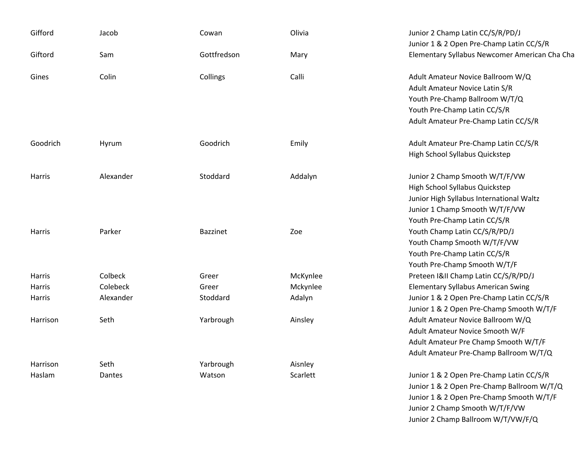| Gifford       | Jacob     | Cowan           | Olivia   | Junior 2 Champ Latin CC/S/R/PD/J<br>Junior 1 & 2 Open Pre-Champ Latin CC/S/R |
|---------------|-----------|-----------------|----------|------------------------------------------------------------------------------|
| Giftord       | Sam       | Gottfredson     | Mary     | Elementary Syllabus Newcomer American Cha Cha                                |
| Gines         | Colin     | Collings        | Calli    | Adult Amateur Novice Ballroom W/Q                                            |
|               |           |                 |          | Adult Amateur Novice Latin S/R                                               |
|               |           |                 |          | Youth Pre-Champ Ballroom W/T/Q                                               |
|               |           |                 |          | Youth Pre-Champ Latin CC/S/R                                                 |
|               |           |                 |          | Adult Amateur Pre-Champ Latin CC/S/R                                         |
| Goodrich      | Hyrum     | Goodrich        | Emily    | Adult Amateur Pre-Champ Latin CC/S/R                                         |
|               |           |                 |          | High School Syllabus Quickstep                                               |
| Harris        | Alexander | Stoddard        | Addalyn  | Junior 2 Champ Smooth W/T/F/VW                                               |
|               |           |                 |          | High School Syllabus Quickstep                                               |
|               |           |                 |          | Junior High Syllabus International Waltz                                     |
|               |           |                 |          | Junior 1 Champ Smooth W/T/F/VW                                               |
|               |           |                 |          | Youth Pre-Champ Latin CC/S/R                                                 |
| Harris        | Parker    | <b>Bazzinet</b> | Zoe      | Youth Champ Latin CC/S/R/PD/J                                                |
|               |           |                 |          | Youth Champ Smooth W/T/F/VW                                                  |
|               |           |                 |          | Youth Pre-Champ Latin CC/S/R                                                 |
|               |           |                 |          | Youth Pre-Champ Smooth W/T/F                                                 |
| <b>Harris</b> | Colbeck   | Greer           | McKynlee | Preteen I&II Champ Latin CC/S/R/PD/J                                         |
| Harris        | Colebeck  | Greer           | Mckynlee | <b>Elementary Syllabus American Swing</b>                                    |
| Harris        | Alexander | Stoddard        | Adalyn   | Junior 1 & 2 Open Pre-Champ Latin CC/S/R                                     |
|               |           |                 |          | Junior 1 & 2 Open Pre-Champ Smooth W/T/F                                     |
| Harrison      | Seth      | Yarbrough       | Ainsley  | Adult Amateur Novice Ballroom W/Q                                            |
|               |           |                 |          | Adult Amateur Novice Smooth W/F                                              |
|               |           |                 |          | Adult Amateur Pre Champ Smooth W/T/F                                         |
|               |           |                 |          | Adult Amateur Pre-Champ Ballroom W/T/Q                                       |
| Harrison      | Seth      | Yarbrough       | Aisnley  |                                                                              |
| Haslam        | Dantes    | Watson          | Scarlett | Junior 1 & 2 Open Pre-Champ Latin CC/S/R                                     |
|               |           |                 |          | Junior 1 & 2 Open Pre-Champ Ballroom W/T/Q                                   |

 2 Open Pre‐Champ Ballroom W/T/Q Junior 1 & 2 Open Pre‐Champ Smooth W/T/F Junior 2 Champ Smooth W/T/F/VW Junior 2 Champ Ballroom W/T/VW/F/Q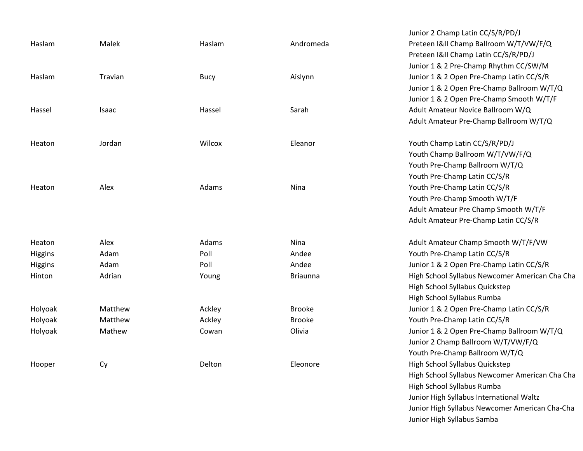|         |         |             |                 | Junior 2 Champ Latin CC/S/R/PD/J               |
|---------|---------|-------------|-----------------|------------------------------------------------|
| Haslam  | Malek   | Haslam      | Andromeda       | Preteen I&II Champ Ballroom W/T/VW/F/Q         |
|         |         |             |                 | Preteen I&II Champ Latin CC/S/R/PD/J           |
|         |         |             |                 | Junior 1 & 2 Pre-Champ Rhythm CC/SW/M          |
| Haslam  | Travian | <b>Bucy</b> | Aislynn         | Junior 1 & 2 Open Pre-Champ Latin CC/S/R       |
|         |         |             |                 | Junior 1 & 2 Open Pre-Champ Ballroom W/T/Q     |
|         |         |             |                 | Junior 1 & 2 Open Pre-Champ Smooth W/T/F       |
| Hassel  | Isaac   | Hassel      | Sarah           | Adult Amateur Novice Ballroom W/Q              |
|         |         |             |                 | Adult Amateur Pre-Champ Ballroom W/T/Q         |
| Heaton  | Jordan  | Wilcox      | Eleanor         | Youth Champ Latin CC/S/R/PD/J                  |
|         |         |             |                 | Youth Champ Ballroom W/T/VW/F/Q                |
|         |         |             |                 | Youth Pre-Champ Ballroom W/T/Q                 |
|         |         |             |                 | Youth Pre-Champ Latin CC/S/R                   |
| Heaton  | Alex    | Adams       | Nina            | Youth Pre-Champ Latin CC/S/R                   |
|         |         |             |                 | Youth Pre-Champ Smooth W/T/F                   |
|         |         |             |                 | Adult Amateur Pre Champ Smooth W/T/F           |
|         |         |             |                 | Adult Amateur Pre-Champ Latin CC/S/R           |
| Heaton  | Alex    | Adams       | Nina            | Adult Amateur Champ Smooth W/T/F/VW            |
| Higgins | Adam    | Poll        | Andee           | Youth Pre-Champ Latin CC/S/R                   |
| Higgins | Adam    | Poll        | Andee           | Junior 1 & 2 Open Pre-Champ Latin CC/S/R       |
| Hinton  | Adrian  | Young       | <b>Briaunna</b> | High School Syllabus Newcomer American Cha Cha |
|         |         |             |                 | High School Syllabus Quickstep                 |
|         |         |             |                 | High School Syllabus Rumba                     |
| Holyoak | Matthew | Ackley      | <b>Brooke</b>   | Junior 1 & 2 Open Pre-Champ Latin CC/S/R       |
| Holyoak | Matthew | Ackley      | <b>Brooke</b>   | Youth Pre-Champ Latin CC/S/R                   |
| Holyoak | Mathew  | Cowan       | Olivia          | Junior 1 & 2 Open Pre-Champ Ballroom W/T/Q     |
|         |         |             |                 | Junior 2 Champ Ballroom W/T/VW/F/Q             |
|         |         |             |                 | Youth Pre-Champ Ballroom W/T/Q                 |
| Hooper  | Cy      | Delton      | Eleonore        | High School Syllabus Quickstep                 |
|         |         |             |                 | High School Syllabus Newcomer American Cha Cha |
|         |         |             |                 | High School Syllabus Rumba                     |
|         |         |             |                 | Junior High Syllabus International Waltz       |

Junior High Syllabus Newcomer American Cha‐Cha

Junior High Syllabus Samba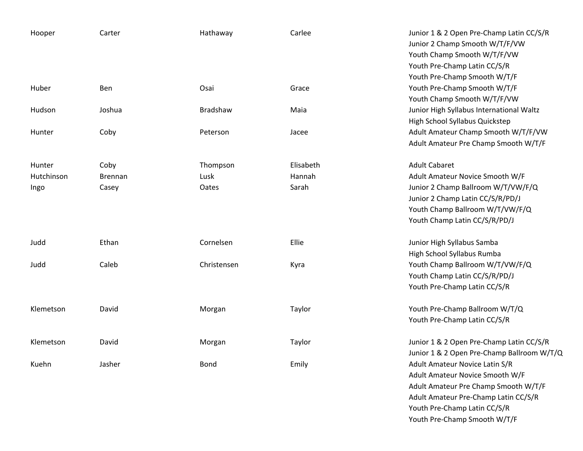| Hooper                       | Carter                          | Hathaway                  | Carlee                       | Junior 1 & 2 Open Pre-Champ Latin CC/S/R<br>Junior 2 Champ Smooth W/T/F/VW<br>Youth Champ Smooth W/T/F/VW<br>Youth Pre-Champ Latin CC/S/R<br>Youth Pre-Champ Smooth W/T/F                                         |
|------------------------------|---------------------------------|---------------------------|------------------------------|-------------------------------------------------------------------------------------------------------------------------------------------------------------------------------------------------------------------|
| Huber                        | Ben                             | Osai                      | Grace                        | Youth Pre-Champ Smooth W/T/F                                                                                                                                                                                      |
| Hudson                       | Joshua                          | Bradshaw                  | Maia                         | Youth Champ Smooth W/T/F/VW<br>Junior High Syllabus International Waltz<br>High School Syllabus Quickstep                                                                                                         |
| Hunter                       | Coby                            | Peterson                  | Jacee                        | Adult Amateur Champ Smooth W/T/F/VW<br>Adult Amateur Pre Champ Smooth W/T/F                                                                                                                                       |
| Hunter<br>Hutchinson<br>Ingo | Coby<br><b>Brennan</b><br>Casey | Thompson<br>Lusk<br>Oates | Elisabeth<br>Hannah<br>Sarah | <b>Adult Cabaret</b><br>Adult Amateur Novice Smooth W/F<br>Junior 2 Champ Ballroom W/T/VW/F/Q<br>Junior 2 Champ Latin CC/S/R/PD/J<br>Youth Champ Ballroom W/T/VW/F/Q<br>Youth Champ Latin CC/S/R/PD/J             |
| Judd                         | Ethan                           | Cornelsen                 | Ellie                        | Junior High Syllabus Samba                                                                                                                                                                                        |
| Judd                         | Caleb                           | Christensen               | Kyra                         | High School Syllabus Rumba<br>Youth Champ Ballroom W/T/VW/F/Q<br>Youth Champ Latin CC/S/R/PD/J<br>Youth Pre-Champ Latin CC/S/R                                                                                    |
| Klemetson                    | David                           | Morgan                    | Taylor                       | Youth Pre-Champ Ballroom W/T/Q<br>Youth Pre-Champ Latin CC/S/R                                                                                                                                                    |
| Klemetson                    | David                           | Morgan                    | Taylor                       | Junior 1 & 2 Open Pre-Champ Latin CC/S/R<br>Junior 1 & 2 Open Pre-Champ Ballroom W/T/Q                                                                                                                            |
| Kuehn                        | Jasher                          | <b>Bond</b>               | Emily                        | Adult Amateur Novice Latin S/R<br>Adult Amateur Novice Smooth W/F<br>Adult Amateur Pre Champ Smooth W/T/F<br>Adult Amateur Pre-Champ Latin CC/S/R<br>Youth Pre-Champ Latin CC/S/R<br>Youth Pre-Champ Smooth W/T/F |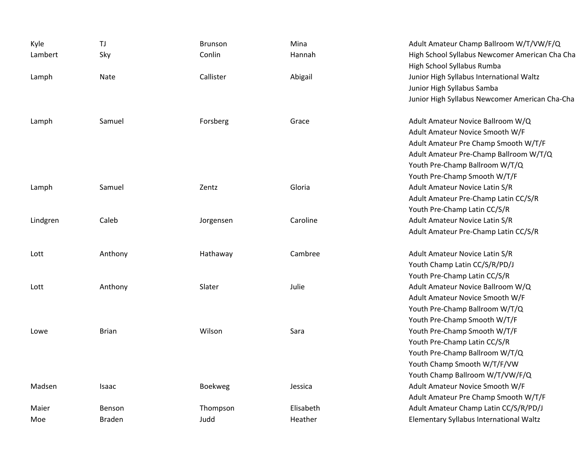| Kyle<br>Lambert | TJ<br>Sky     | <b>Brunson</b><br>Conlin | Mina<br>Hannah | Adult Amateur Champ Ballroom W/T/VW/F/Q<br>High School Syllabus Newcomer American Cha Cha                                                              |
|-----------------|---------------|--------------------------|----------------|--------------------------------------------------------------------------------------------------------------------------------------------------------|
| Lamph           | Nate          | Callister                | Abigail        | High School Syllabus Rumba<br>Junior High Syllabus International Waltz<br>Junior High Syllabus Samba<br>Junior High Syllabus Newcomer American Cha-Cha |
| Lamph           | Samuel        | Forsberg                 | Grace          | Adult Amateur Novice Ballroom W/Q                                                                                                                      |
|                 |               |                          |                | Adult Amateur Novice Smooth W/F                                                                                                                        |
|                 |               |                          |                | Adult Amateur Pre Champ Smooth W/T/F                                                                                                                   |
|                 |               |                          |                | Adult Amateur Pre-Champ Ballroom W/T/Q                                                                                                                 |
|                 |               |                          |                | Youth Pre-Champ Ballroom W/T/Q                                                                                                                         |
|                 |               |                          |                | Youth Pre-Champ Smooth W/T/F                                                                                                                           |
| Lamph           | Samuel        | Zentz                    | Gloria         | Adult Amateur Novice Latin S/R                                                                                                                         |
|                 |               |                          |                | Adult Amateur Pre-Champ Latin CC/S/R                                                                                                                   |
|                 |               |                          |                | Youth Pre-Champ Latin CC/S/R                                                                                                                           |
| Lindgren        | Caleb         | Jorgensen                | Caroline       | Adult Amateur Novice Latin S/R                                                                                                                         |
|                 |               |                          |                | Adult Amateur Pre-Champ Latin CC/S/R                                                                                                                   |
| Lott            | Anthony       | Hathaway                 | Cambree        | Adult Amateur Novice Latin S/R                                                                                                                         |
|                 |               |                          |                | Youth Champ Latin CC/S/R/PD/J                                                                                                                          |
|                 |               |                          |                | Youth Pre-Champ Latin CC/S/R                                                                                                                           |
| Lott            | Anthony       | Slater                   | Julie          | Adult Amateur Novice Ballroom W/Q                                                                                                                      |
|                 |               |                          |                | Adult Amateur Novice Smooth W/F                                                                                                                        |
|                 |               |                          |                | Youth Pre-Champ Ballroom W/T/Q                                                                                                                         |
|                 |               |                          |                | Youth Pre-Champ Smooth W/T/F                                                                                                                           |
| Lowe            | <b>Brian</b>  | Wilson                   | Sara           | Youth Pre-Champ Smooth W/T/F                                                                                                                           |
|                 |               |                          |                | Youth Pre-Champ Latin CC/S/R                                                                                                                           |
|                 |               |                          |                | Youth Pre-Champ Ballroom W/T/Q                                                                                                                         |
|                 |               |                          |                | Youth Champ Smooth W/T/F/VW                                                                                                                            |
|                 |               |                          |                | Youth Champ Ballroom W/T/VW/F/Q                                                                                                                        |
| Madsen          | Isaac         | <b>Boekweg</b>           | Jessica        | Adult Amateur Novice Smooth W/F                                                                                                                        |
|                 |               |                          |                | Adult Amateur Pre Champ Smooth W/T/F                                                                                                                   |
| Maier           | Benson        | Thompson                 | Elisabeth      | Adult Amateur Champ Latin CC/S/R/PD/J                                                                                                                  |
| Moe             | <b>Braden</b> | Judd                     | Heather        | Elementary Syllabus International Waltz                                                                                                                |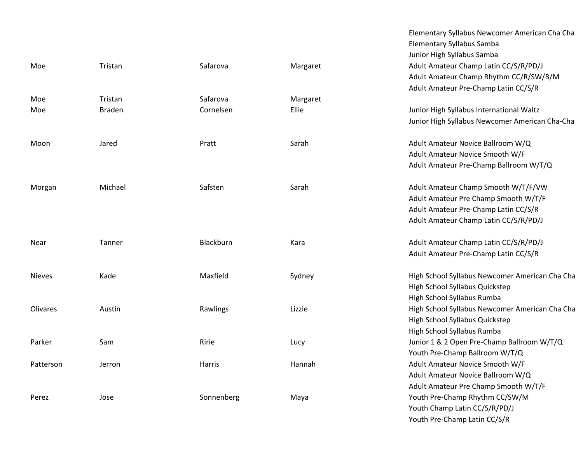|               |               |            |          | Elementary Syllabus Samba<br>Junior High Syllabus Samba |
|---------------|---------------|------------|----------|---------------------------------------------------------|
| Moe           | Tristan       | Safarova   | Margaret | Adult Amateur Champ Latin CC/S/R/F                      |
|               |               |            |          | Adult Amateur Champ Rhythm CC/R/                        |
|               |               |            |          | Adult Amateur Pre-Champ Latin CC/S                      |
| Moe           | Tristan       | Safarova   | Margaret |                                                         |
| Moe           | <b>Braden</b> | Cornelsen  | Ellie    | Junior High Syllabus International Wa                   |
|               |               |            |          | Junior High Syllabus Newcomer Amer                      |
| Moon          | Jared         | Pratt      | Sarah    | Adult Amateur Novice Ballroom W/Q                       |
|               |               |            |          | Adult Amateur Novice Smooth W/F                         |
|               |               |            |          | Adult Amateur Pre-Champ Ballroom \                      |
| Morgan        | Michael       | Safsten    | Sarah    | Adult Amateur Champ Smooth W/T/I                        |
|               |               |            |          | Adult Amateur Pre Champ Smooth W                        |
|               |               |            |          | Adult Amateur Pre-Champ Latin CC/S                      |
|               |               |            |          | Adult Amateur Champ Latin CC/S/R/F                      |
| Near          | Tanner        | Blackburn  | Kara     | Adult Amateur Champ Latin CC/S/R/F                      |
|               |               |            |          | Adult Amateur Pre-Champ Latin CC/S                      |
| <b>Nieves</b> | Kade          | Maxfield   | Sydney   | High School Syllabus Newcomer Ame                       |
|               |               |            |          | High School Syllabus Quickstep                          |
|               |               |            |          | High School Syllabus Rumba                              |
| Olivares      | Austin        | Rawlings   | Lizzie   | High School Syllabus Newcomer Ame                       |
|               |               |            |          | High School Syllabus Quickstep                          |
|               |               |            |          | High School Syllabus Rumba                              |
| Parker        | Sam           | Ririe      | Lucy     | Junior 1 & 2 Open Pre-Champ Ballroo                     |
|               |               |            |          | Youth Pre-Champ Ballroom W/T/Q                          |
| Patterson     | Jerron        | Harris     | Hannah   | Adult Amateur Novice Smooth W/F                         |
|               |               |            |          | Adult Amateur Novice Ballroom W/Q                       |
|               |               |            |          | Adult Amateur Pre Champ Smooth W                        |
| Perez         | Jose          | Sonnenberg | Maya     | Youth Pre-Champ Rhythm CC/SW/M                          |
|               |               |            |          | Vouth Champ Latin CC/C/D/DD/L                           |

Elementary Syllabus Newcomer American Cha Cha Elementary Syllabus Samba Junior High Syllabus Samba Adult Amateur Champ Latin CC/S/R/PD/J Adult Amateur Champ Rhythm CC/R/SW/B/M Adult Amateur Pre‐Champ Latin CC/S/R Junior High Syllabus International Waltz Junior High Syllabus Newcomer American Cha‐Cha Adult Amateur Novice Smooth W/F Adult Amateur Pre‐Champ Ballroom W/T/Q Adult Amateur Champ Smooth W/T/F/VW Adult Amateur Pre Champ Smooth W/T/F Adult Amateur Pre‐Champ Latin CC/S/R Adult Amateur Champ Latin CC/S/R/PD/J Adult Amateur Champ Latin CC/S/R/PD/J Adult Amateur Pre‐Champ Latin CC/S/R High School Syllabus Newcomer American Cha Cha High School Syllabus Quickstep High School Syllabus Rumba High School Syllabus Newcomer American Cha Cha High School Syllabus Quickstep High School Syllabus Rumba Junior 1 & 2 Open Pre-Champ Ballroom W/T/Q Youth Pre‐Champ Ballroom W/T/Q Adult Amateur Novice Smooth W/F Adult Amateur Novice Ballroom W/Q Adult Amateur Pre Champ Smooth W/T/F Youth Pre‐Champ Rhythm CC/SW/M Youth Champ Latin CC/S/R/PD/J

Youth Pre‐Champ Latin CC/S/R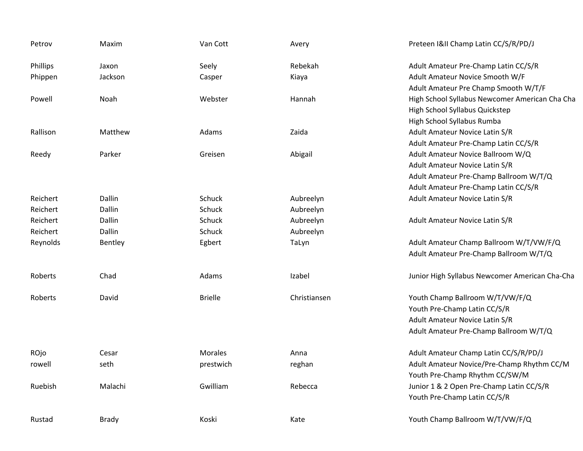| Petrov   | Maxim        | Van Cott       | Avery        | Preteen I&II Champ Latin CC/S/R/PD/J           |
|----------|--------------|----------------|--------------|------------------------------------------------|
| Phillips | Jaxon        | Seely          | Rebekah      | Adult Amateur Pre-Champ Latin CC/S/R           |
| Phippen  | Jackson      | Casper         | Kiaya        | Adult Amateur Novice Smooth W/F                |
|          |              |                |              | Adult Amateur Pre Champ Smooth W/T/F           |
| Powell   | Noah         | Webster        | Hannah       | High School Syllabus Newcomer American Cha Cha |
|          |              |                |              | High School Syllabus Quickstep                 |
|          |              |                |              | High School Syllabus Rumba                     |
| Rallison | Matthew      | Adams          | Zaida        | Adult Amateur Novice Latin S/R                 |
|          |              |                |              | Adult Amateur Pre-Champ Latin CC/S/R           |
| Reedy    | Parker       | Greisen        | Abigail      | Adult Amateur Novice Ballroom W/Q              |
|          |              |                |              | Adult Amateur Novice Latin S/R                 |
|          |              |                |              | Adult Amateur Pre-Champ Ballroom W/T/Q         |
|          |              |                |              | Adult Amateur Pre-Champ Latin CC/S/R           |
| Reichert | Dallin       | Schuck         | Aubreelyn    | Adult Amateur Novice Latin S/R                 |
| Reichert | Dallin       | Schuck         | Aubreelyn    |                                                |
| Reichert | Dallin       | Schuck         | Aubreelyn    | Adult Amateur Novice Latin S/R                 |
| Reichert | Dallin       | Schuck         | Aubreelyn    |                                                |
| Reynolds | Bentley      | Egbert         | TaLyn        | Adult Amateur Champ Ballroom W/T/VW/F/Q        |
|          |              |                |              | Adult Amateur Pre-Champ Ballroom W/T/Q         |
| Roberts  | Chad         | Adams          | Izabel       | Junior High Syllabus Newcomer American Cha-Cha |
| Roberts  | David        | <b>Brielle</b> | Christiansen | Youth Champ Ballroom W/T/VW/F/Q                |
|          |              |                |              | Youth Pre-Champ Latin CC/S/R                   |
|          |              |                |              | Adult Amateur Novice Latin S/R                 |
|          |              |                |              | Adult Amateur Pre-Champ Ballroom W/T/Q         |
| ROjo     | Cesar        | <b>Morales</b> | Anna         | Adult Amateur Champ Latin CC/S/R/PD/J          |
| rowell   | seth         | prestwich      | reghan       | Adult Amateur Novice/Pre-Champ Rhythm CC/M     |
|          |              |                |              | Youth Pre-Champ Rhythm CC/SW/M                 |
| Ruebish  | Malachi      | Gwilliam       | Rebecca      | Junior 1 & 2 Open Pre-Champ Latin CC/S/R       |
|          |              |                |              | Youth Pre-Champ Latin CC/S/R                   |
| Rustad   | <b>Brady</b> | Koski          | Kate         | Youth Champ Ballroom W/T/VW/F/Q                |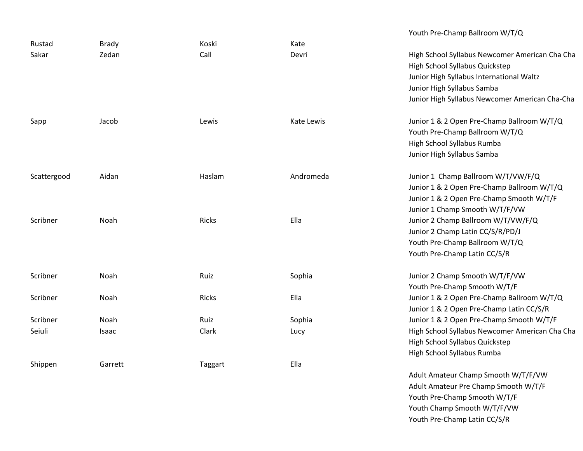|             |              |              |            | Youth Pre-Champ Ballroom W/T/Q                 |
|-------------|--------------|--------------|------------|------------------------------------------------|
| Rustad      | <b>Brady</b> | Koski        | Kate       |                                                |
| Sakar       | Zedan        | Call         | Devri      | High School Syllabus Newcomer American Cha Cha |
|             |              |              |            | High School Syllabus Quickstep                 |
|             |              |              |            | Junior High Syllabus International Waltz       |
|             |              |              |            | Junior High Syllabus Samba                     |
|             |              |              |            | Junior High Syllabus Newcomer American Cha-Cha |
| Sapp        | Jacob        | Lewis        | Kate Lewis | Junior 1 & 2 Open Pre-Champ Ballroom W/T/Q     |
|             |              |              |            | Youth Pre-Champ Ballroom W/T/Q                 |
|             |              |              |            | High School Syllabus Rumba                     |
|             |              |              |            | Junior High Syllabus Samba                     |
| Scattergood | Aidan        | Haslam       | Andromeda  | Junior 1 Champ Ballroom W/T/VW/F/Q             |
|             |              |              |            | Junior 1 & 2 Open Pre-Champ Ballroom W/T/Q     |
|             |              |              |            | Junior 1 & 2 Open Pre-Champ Smooth W/T/F       |
|             |              |              |            | Junior 1 Champ Smooth W/T/F/VW                 |
| Scribner    | Noah         | <b>Ricks</b> | Ella       | Junior 2 Champ Ballroom W/T/VW/F/Q             |
|             |              |              |            | Junior 2 Champ Latin CC/S/R/PD/J               |
|             |              |              |            | Youth Pre-Champ Ballroom W/T/Q                 |
|             |              |              |            | Youth Pre-Champ Latin CC/S/R                   |
| Scribner    | Noah         | Ruiz         | Sophia     | Junior 2 Champ Smooth W/T/F/VW                 |
|             |              |              |            | Youth Pre-Champ Smooth W/T/F                   |
| Scribner    | Noah         | Ricks        | Ella       | Junior 1 & 2 Open Pre-Champ Ballroom W/T/Q     |
|             |              |              |            | Junior 1 & 2 Open Pre-Champ Latin CC/S/R       |
| Scribner    | Noah         | Ruiz         | Sophia     | Junior 1 & 2 Open Pre-Champ Smooth W/T/F       |
| Seiuli      | Isaac        | Clark        | Lucy       | High School Syllabus Newcomer American Cha Cha |
|             |              |              |            | High School Syllabus Quickstep                 |
|             |              |              |            | High School Syllabus Rumba                     |
| Shippen     | Garrett      | Taggart      | Ella       |                                                |
|             |              |              |            | Adult Amateur Champ Smooth W/T/F/VW            |
|             |              |              |            | Adult Amateur Dro Champ Cmaath W/T/E           |

Adult Amateur Pre Champ Smooth W/T/F Youth Pre‐Champ Smooth W/T/F Youth Champ Smooth W/T/F/VW Youth Pre‐Champ Latin CC/S/R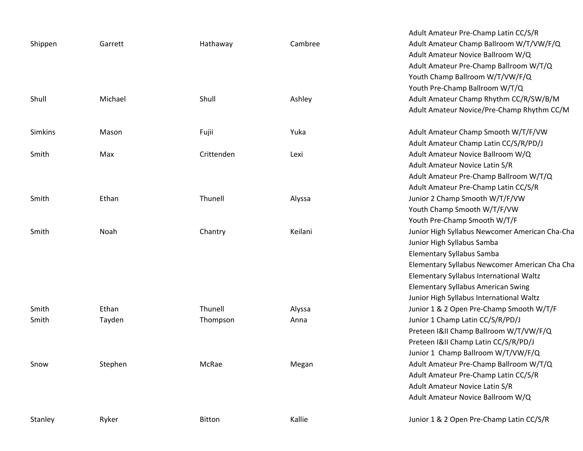|         |         |            |         | Adult Amateur Pre-Champ Latin CC/S/R           |
|---------|---------|------------|---------|------------------------------------------------|
| Shippen | Garrett | Hathaway   | Cambree | Adult Amateur Champ Ballroom W/T/VW/F/Q        |
|         |         |            |         | Adult Amateur Novice Ballroom W/Q              |
|         |         |            |         | Adult Amateur Pre-Champ Ballroom W/T/Q         |
|         |         |            |         | Youth Champ Ballroom W/T/VW/F/Q                |
|         |         |            |         | Youth Pre-Champ Ballroom W/T/Q                 |
| Shull   | Michael | Shull      | Ashley  | Adult Amateur Champ Rhythm CC/R/SW/B/M         |
|         |         |            |         | Adult Amateur Novice/Pre-Champ Rhythm CC/M     |
| Simkins | Mason   | Fujii      | Yuka    | Adult Amateur Champ Smooth W/T/F/VW            |
|         |         |            |         | Adult Amateur Champ Latin CC/S/R/PD/J          |
| Smith   | Max     | Crittenden | Lexi    | Adult Amateur Novice Ballroom W/Q              |
|         |         |            |         | Adult Amateur Novice Latin S/R                 |
|         |         |            |         | Adult Amateur Pre-Champ Ballroom W/T/Q         |
|         |         |            |         | Adult Amateur Pre-Champ Latin CC/S/R           |
| Smith   | Ethan   | Thunell    | Alyssa  | Junior 2 Champ Smooth W/T/F/VW                 |
|         |         |            |         | Youth Champ Smooth W/T/F/VW                    |
|         |         |            |         | Youth Pre-Champ Smooth W/T/F                   |
| Smith   | Noah    | Chantry    | Keilani | Junior High Syllabus Newcomer American Cha-Cha |
|         |         |            |         | Junior High Syllabus Samba                     |
|         |         |            |         | <b>Elementary Syllabus Samba</b>               |
|         |         |            |         | Elementary Syllabus Newcomer American Cha Cha  |
|         |         |            |         | Elementary Syllabus International Waltz        |
|         |         |            |         | <b>Elementary Syllabus American Swing</b>      |
|         |         |            |         | Junior High Syllabus International Waltz       |
| Smith   | Ethan   | Thunell    | Alyssa  | Junior 1 & 2 Open Pre-Champ Smooth W/T/F       |
| Smith   | Tayden  | Thompson   | Anna    | Junior 1 Champ Latin CC/S/R/PD/J               |
|         |         |            |         | Preteen I&II Champ Ballroom W/T/VW/F/Q         |
|         |         |            |         | Preteen I&II Champ Latin CC/S/R/PD/J           |
|         |         |            |         | Junior 1 Champ Ballroom W/T/VW/F/Q             |
| Snow    | Stephen | McRae      | Megan   | Adult Amateur Pre-Champ Ballroom W/T/Q         |
|         |         |            |         | Adult Amateur Pre-Champ Latin CC/S/R           |
|         |         |            |         | Adult Amateur Novice Latin S/R                 |
|         |         |            |         | Adult Amateur Novice Ballroom W/Q              |
| Stanley | Ryker   | Bitton     | Kallie  | Junior 1 & 2 Open Pre-Champ Latin CC/S/R       |
|         |         |            |         |                                                |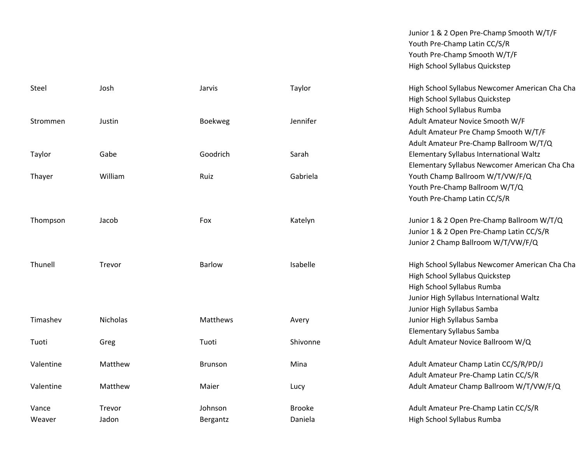Junior 1 & 2 Open Pre‐Champ Smooth W/T/F Youth Pre‐Champ Latin CC/S/R Youth Pre‐Champ Smooth W/T/F High School Syllabus Quickstep

| Steel     | Josh     | Jarvis         | Taylor        | High School Syllabus Newcomer American Cha Cha |
|-----------|----------|----------------|---------------|------------------------------------------------|
|           |          |                |               | High School Syllabus Quickstep                 |
|           |          |                |               | High School Syllabus Rumba                     |
| Strommen  | Justin   | <b>Boekweg</b> | Jennifer      | Adult Amateur Novice Smooth W/F                |
|           |          |                |               | Adult Amateur Pre Champ Smooth W/T/F           |
|           |          |                |               | Adult Amateur Pre-Champ Ballroom W/T/Q         |
| Taylor    | Gabe     | Goodrich       | Sarah         | Elementary Syllabus International Waltz        |
|           |          |                |               | Elementary Syllabus Newcomer American Cha Cha  |
| Thayer    | William  | Ruiz           | Gabriela      | Youth Champ Ballroom W/T/VW/F/Q                |
|           |          |                |               | Youth Pre-Champ Ballroom W/T/Q                 |
|           |          |                |               | Youth Pre-Champ Latin CC/S/R                   |
| Thompson  | Jacob    | Fox            | Katelyn       | Junior 1 & 2 Open Pre-Champ Ballroom W/T/Q     |
|           |          |                |               | Junior 1 & 2 Open Pre-Champ Latin CC/S/R       |
|           |          |                |               | Junior 2 Champ Ballroom W/T/VW/F/Q             |
| Thunell   | Trevor   | <b>Barlow</b>  | Isabelle      | High School Syllabus Newcomer American Cha Cha |
|           |          |                |               | High School Syllabus Quickstep                 |
|           |          |                |               | High School Syllabus Rumba                     |
|           |          |                |               | Junior High Syllabus International Waltz       |
|           |          |                |               | Junior High Syllabus Samba                     |
| Timashev  | Nicholas | Matthews       | Avery         | Junior High Syllabus Samba                     |
|           |          |                |               | Elementary Syllabus Samba                      |
| Tuoti     | Greg     | Tuoti          | Shivonne      | Adult Amateur Novice Ballroom W/Q              |
| Valentine | Matthew  | <b>Brunson</b> | Mina          | Adult Amateur Champ Latin CC/S/R/PD/J          |
|           |          |                |               | Adult Amateur Pre-Champ Latin CC/S/R           |
| Valentine | Matthew  | Maier          | Lucy          | Adult Amateur Champ Ballroom W/T/VW/F/Q        |
| Vance     | Trevor   | Johnson        | <b>Brooke</b> | Adult Amateur Pre-Champ Latin CC/S/R           |
| Weaver    | Jadon    | Bergantz       | Daniela       | High School Syllabus Rumba                     |